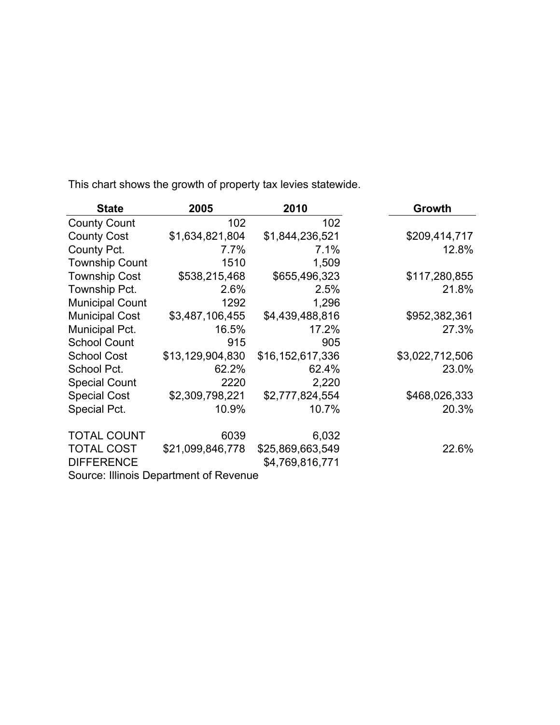| <b>State</b>           | 2005                                   | 2010             | Growth          |
|------------------------|----------------------------------------|------------------|-----------------|
| <b>County Count</b>    | 102                                    | 102              |                 |
| <b>County Cost</b>     | \$1,634,821,804                        | \$1,844,236,521  | \$209,414,717   |
| County Pct.            | 7.7%                                   | 7.1%             | 12.8%           |
| <b>Township Count</b>  | 1510                                   | 1,509            |                 |
| <b>Township Cost</b>   | \$538,215,468                          | \$655,496,323    | \$117,280,855   |
| Township Pct.          | 2.6%                                   | 2.5%             | 21.8%           |
| <b>Municipal Count</b> | 1292                                   | 1,296            |                 |
| <b>Municipal Cost</b>  | \$3,487,106,455                        | \$4,439,488,816  | \$952,382,361   |
| Municipal Pct.         | 16.5%                                  | 17.2%            | 27.3%           |
| <b>School Count</b>    | 915                                    | 905              |                 |
| <b>School Cost</b>     | \$13,129,904,830                       | \$16,152,617,336 | \$3,022,712,506 |
| School Pct.            | 62.2%                                  | 62.4%            | 23.0%           |
| <b>Special Count</b>   | 2220                                   | 2,220            |                 |
| <b>Special Cost</b>    | \$2,309,798,221                        | \$2,777,824,554  | \$468,026,333   |
| Special Pct.           | 10.9%                                  | 10.7%            | 20.3%           |
| <b>TOTAL COUNT</b>     | 6039                                   | 6,032            |                 |
| <b>TOTAL COST</b>      | \$21,099,846,778                       | \$25,869,663,549 | 22.6%           |
| <b>DIFFERENCE</b>      |                                        | \$4,769,816,771  |                 |
|                        | Source: Illinois Department of Revenue |                  |                 |

This chart shows the growth of property tax levies statewide.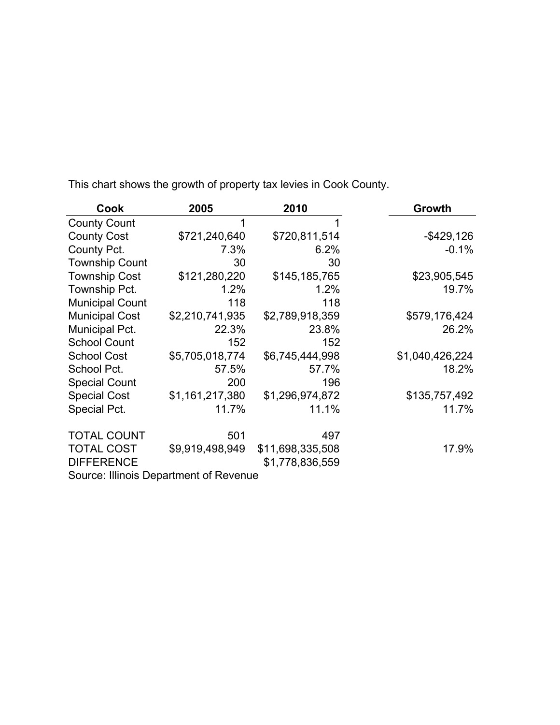| Cook                   | 2005                                   | 2010             | Growth          |
|------------------------|----------------------------------------|------------------|-----------------|
| <b>County Count</b>    | 1                                      | 1                |                 |
| <b>County Cost</b>     | \$721,240,640                          | \$720,811,514    | $-$ \$429,126   |
| County Pct.            | 7.3%                                   | 6.2%             | $-0.1%$         |
| <b>Township Count</b>  | 30                                     | 30               |                 |
| <b>Township Cost</b>   | \$121,280,220                          | \$145,185,765    | \$23,905,545    |
| Township Pct.          | 1.2%                                   | 1.2%             | 19.7%           |
| <b>Municipal Count</b> | 118                                    | 118              |                 |
| <b>Municipal Cost</b>  | \$2,210,741,935                        | \$2,789,918,359  | \$579,176,424   |
| Municipal Pct.         | 22.3%                                  | 23.8%            | 26.2%           |
| <b>School Count</b>    | 152                                    | 152              |                 |
| <b>School Cost</b>     | \$5,705,018,774                        | \$6,745,444,998  | \$1,040,426,224 |
| School Pct.            | 57.5%                                  | 57.7%            | 18.2%           |
| <b>Special Count</b>   | 200                                    | 196              |                 |
| <b>Special Cost</b>    | \$1,161,217,380                        | \$1,296,974,872  | \$135,757,492   |
| Special Pct.           | 11.7%                                  | 11.1%            | 11.7%           |
| <b>TOTAL COUNT</b>     | 501                                    | 497              |                 |
| <b>TOTAL COST</b>      | \$9,919,498,949                        | \$11,698,335,508 | 17.9%           |
| <b>DIFFERENCE</b>      |                                        | \$1,778,836,559  |                 |
|                        | Source: Illinois Department of Revenue |                  |                 |

This chart shows the growth of property tax levies in Cook County.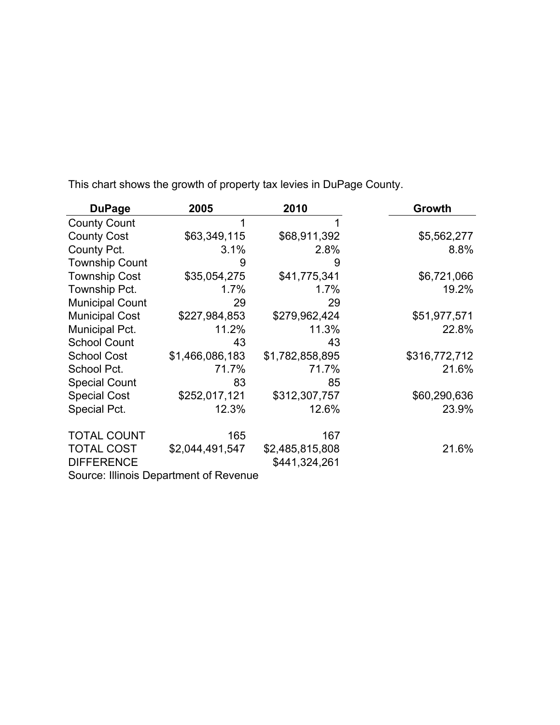| <b>DuPage</b>                          | 2005            | 2010            | Growth        |
|----------------------------------------|-----------------|-----------------|---------------|
| <b>County Count</b>                    | 1               |                 |               |
| <b>County Cost</b>                     | \$63,349,115    | \$68,911,392    | \$5,562,277   |
| County Pct.                            | 3.1%            | 2.8%            | 8.8%          |
| <b>Township Count</b>                  | 9               | 9               |               |
| <b>Township Cost</b>                   | \$35,054,275    | \$41,775,341    | \$6,721,066   |
| Township Pct.                          | 1.7%            | 1.7%            | 19.2%         |
| <b>Municipal Count</b>                 | 29              | 29              |               |
| <b>Municipal Cost</b>                  | \$227,984,853   | \$279,962,424   | \$51,977,571  |
| Municipal Pct.                         | 11.2%           | 11.3%           | 22.8%         |
| <b>School Count</b>                    | 43              | 43              |               |
| <b>School Cost</b>                     | \$1,466,086,183 | \$1,782,858,895 | \$316,772,712 |
| School Pct.                            | 71.7%           | 71.7%           | 21.6%         |
| <b>Special Count</b>                   | 83              | 85              |               |
| <b>Special Cost</b>                    | \$252,017,121   | \$312,307,757   | \$60,290,636  |
| Special Pct.                           | 12.3%           | 12.6%           | 23.9%         |
| <b>TOTAL COUNT</b>                     | 165             | 167             |               |
| <b>TOTAL COST</b>                      | \$2,044,491,547 | \$2,485,815,808 | 21.6%         |
| <b>DIFFERENCE</b>                      |                 | \$441,324,261   |               |
| Source: Illinois Department of Revenue |                 |                 |               |

This chart shows the growth of property tax levies in DuPage County.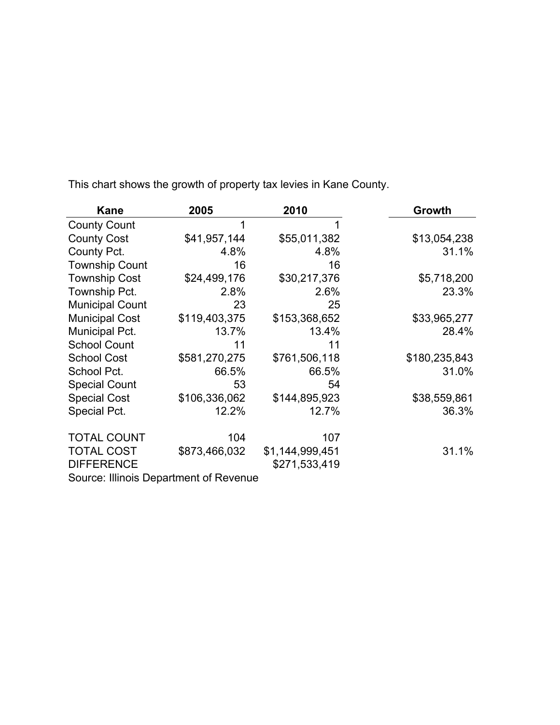| Kane                                   | 2005          | 2010            | Growth        |
|----------------------------------------|---------------|-----------------|---------------|
| <b>County Count</b>                    | 1             | 1               |               |
| <b>County Cost</b>                     | \$41,957,144  | \$55,011,382    | \$13,054,238  |
| County Pct.                            | 4.8%          | 4.8%            | 31.1%         |
| <b>Township Count</b>                  | 16            | 16              |               |
| <b>Township Cost</b>                   | \$24,499,176  | \$30,217,376    | \$5,718,200   |
| Township Pct.                          | 2.8%          | 2.6%            | 23.3%         |
| <b>Municipal Count</b>                 | 23            | 25              |               |
| <b>Municipal Cost</b>                  | \$119,403,375 | \$153,368,652   | \$33,965,277  |
| Municipal Pct.                         | 13.7%         | 13.4%           | 28.4%         |
| <b>School Count</b>                    | 11            | 11              |               |
| <b>School Cost</b>                     | \$581,270,275 | \$761,506,118   | \$180,235,843 |
| School Pct.                            | 66.5%         | 66.5%           | 31.0%         |
| <b>Special Count</b>                   | 53            | 54              |               |
| <b>Special Cost</b>                    | \$106,336,062 | \$144,895,923   | \$38,559,861  |
| Special Pct.                           | 12.2%         | 12.7%           | 36.3%         |
| <b>TOTAL COUNT</b>                     | 104           | 107             |               |
| <b>TOTAL COST</b>                      | \$873,466,032 | \$1,144,999,451 | 31.1%         |
| <b>DIFFERENCE</b>                      |               | \$271,533,419   |               |
| Source: Illinois Department of Revenue |               |                 |               |

This chart shows the growth of property tax levies in Kane County.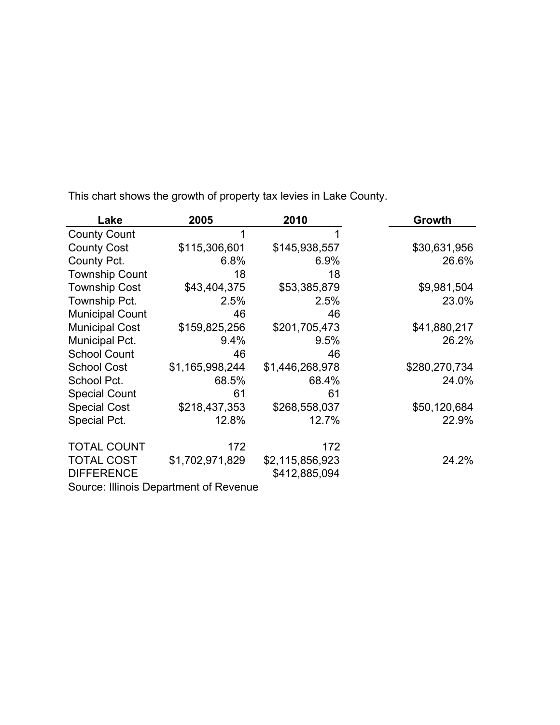| Lake                   | 2005                                   | 2010            | Growth        |
|------------------------|----------------------------------------|-----------------|---------------|
| <b>County Count</b>    | 1                                      |                 |               |
| <b>County Cost</b>     | \$115,306,601                          | \$145,938,557   | \$30,631,956  |
| County Pct.            | 6.8%                                   | 6.9%            | 26.6%         |
| <b>Township Count</b>  | 18                                     | 18              |               |
| <b>Township Cost</b>   | \$43,404,375                           | \$53,385,879    | \$9,981,504   |
| Township Pct.          | 2.5%                                   | 2.5%            | 23.0%         |
| <b>Municipal Count</b> | 46                                     | 46              |               |
| <b>Municipal Cost</b>  | \$159,825,256                          | \$201,705,473   | \$41,880,217  |
| Municipal Pct.         | 9.4%                                   | 9.5%            | 26.2%         |
| <b>School Count</b>    | 46                                     | 46              |               |
| <b>School Cost</b>     | \$1,165,998,244                        | \$1,446,268,978 | \$280,270,734 |
| School Pct.            | 68.5%                                  | 68.4%           | 24.0%         |
| <b>Special Count</b>   | 61                                     | 61              |               |
| <b>Special Cost</b>    | \$218,437,353                          | \$268,558,037   | \$50,120,684  |
| Special Pct.           | 12.8%                                  | 12.7%           | 22.9%         |
| <b>TOTAL COUNT</b>     | 172                                    | 172             |               |
| <b>TOTAL COST</b>      | \$1,702,971,829                        | \$2,115,856,923 | 24.2%         |
| <b>DIFFERENCE</b>      |                                        | \$412,885,094   |               |
|                        | Source: Illinois Department of Revenue |                 |               |

This chart shows the growth of property tax levies in Lake County.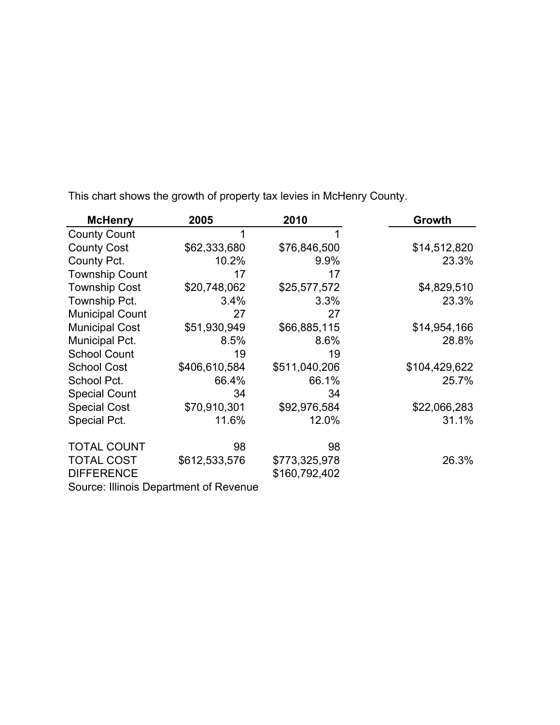| <b>McHenry</b>         | 2005                                   | 2010          | Growth        |  |
|------------------------|----------------------------------------|---------------|---------------|--|
| <b>County Count</b>    | 1                                      |               |               |  |
| <b>County Cost</b>     | \$62,333,680                           | \$76,846,500  | \$14,512,820  |  |
| County Pct.            | 10.2%                                  | 9.9%          | 23.3%         |  |
| <b>Township Count</b>  | 17                                     | 17            |               |  |
| <b>Township Cost</b>   | \$20,748,062                           | \$25,577,572  | \$4,829,510   |  |
| Township Pct.          | 3.4%                                   | 3.3%          | 23.3%         |  |
| <b>Municipal Count</b> | 27                                     | 27            |               |  |
| <b>Municipal Cost</b>  | \$51,930,949                           | \$66,885,115  | \$14,954,166  |  |
| Municipal Pct.         | 8.5%                                   | 8.6%          | 28.8%         |  |
| <b>School Count</b>    | 19                                     | 19            |               |  |
| <b>School Cost</b>     | \$406,610,584                          | \$511,040,206 | \$104,429,622 |  |
| School Pct.            | 66.4%                                  | 66.1%         | 25.7%         |  |
| <b>Special Count</b>   | 34                                     | 34            |               |  |
| <b>Special Cost</b>    | \$70,910,301                           | \$92,976,584  | \$22,066,283  |  |
| Special Pct.           | 11.6%                                  | 12.0%         | 31.1%         |  |
| <b>TOTAL COUNT</b>     | 98                                     | 98            |               |  |
| <b>TOTAL COST</b>      | \$612,533,576                          | \$773,325,978 | 26.3%         |  |
| <b>DIFFERENCE</b>      |                                        | \$160,792,402 |               |  |
|                        | Source: Illinois Department of Revenue |               |               |  |

This chart shows the growth of property tax levies in McHenry County.